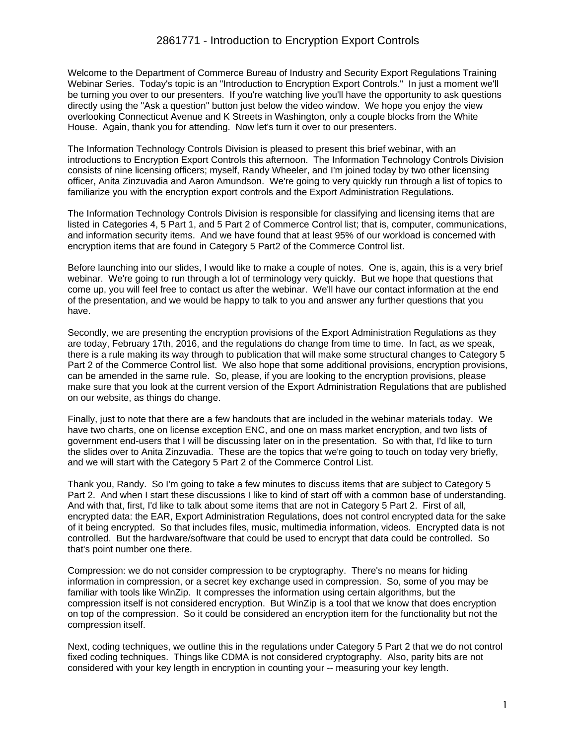Welcome to the Department of Commerce Bureau of Industry and Security Export Regulations Training Webinar Series. Today's topic is an "Introduction to Encryption Export Controls." In just a moment we'll be turning you over to our presenters. If you're watching live you'll have the opportunity to ask questions directly using the "Ask a question" button just below the video window. We hope you enjoy the view overlooking Connecticut Avenue and K Streets in Washington, only a couple blocks from the White House. Again, thank you for attending. Now let's turn it over to our presenters.

The Information Technology Controls Division is pleased to present this brief webinar, with an introductions to Encryption Export Controls this afternoon. The Information Technology Controls Division consists of nine licensing officers; myself, Randy Wheeler, and I'm joined today by two other licensing officer, Anita Zinzuvadia and Aaron Amundson. We're going to very quickly run through a list of topics to familiarize you with the encryption export controls and the Export Administration Regulations.

The Information Technology Controls Division is responsible for classifying and licensing items that are listed in Categories 4, 5 Part 1, and 5 Part 2 of Commerce Control list; that is, computer, communications, and information security items. And we have found that at least 95% of our workload is concerned with encryption items that are found in Category 5 Part2 of the Commerce Control list.

Before launching into our slides, I would like to make a couple of notes. One is, again, this is a very brief webinar. We're going to run through a lot of terminology very quickly. But we hope that questions that come up, you will feel free to contact us after the webinar. We'll have our contact information at the end of the presentation, and we would be happy to talk to you and answer any further questions that you have.

Secondly, we are presenting the encryption provisions of the Export Administration Regulations as they are today, February 17th, 2016, and the regulations do change from time to time. In fact, as we speak, there is a rule making its way through to publication that will make some structural changes to Category 5 Part 2 of the Commerce Control list. We also hope that some additional provisions, encryption provisions, can be amended in the same rule. So, please, if you are looking to the encryption provisions, please make sure that you look at the current version of the Export Administration Regulations that are published on our website, as things do change.

Finally, just to note that there are a few handouts that are included in the webinar materials today. We have two charts, one on license exception ENC, and one on mass market encryption, and two lists of government end-users that I will be discussing later on in the presentation. So with that, I'd like to turn the slides over to Anita Zinzuvadia. These are the topics that we're going to touch on today very briefly, and we will start with the Category 5 Part 2 of the Commerce Control List.

Thank you, Randy. So I'm going to take a few minutes to discuss items that are subject to Category 5 Part 2. And when I start these discussions I like to kind of start off with a common base of understanding. And with that, first, I'd like to talk about some items that are not in Category 5 Part 2. First of all, encrypted data: the EAR, Export Administration Regulations, does not control encrypted data for the sake of it being encrypted. So that includes files, music, multimedia information, videos. Encrypted data is not controlled. But the hardware/software that could be used to encrypt that data could be controlled. So that's point number one there.

Compression: we do not consider compression to be cryptography. There's no means for hiding information in compression, or a secret key exchange used in compression. So, some of you may be familiar with tools like WinZip. It compresses the information using certain algorithms, but the compression itself is not considered encryption. But WinZip is a tool that we know that does encryption on top of the compression. So it could be considered an encryption item for the functionality but not the compression itself.

Next, coding techniques, we outline this in the regulations under Category 5 Part 2 that we do not control fixed coding techniques. Things like CDMA is not considered cryptography. Also, parity bits are not considered with your key length in encryption in counting your -- measuring your key length.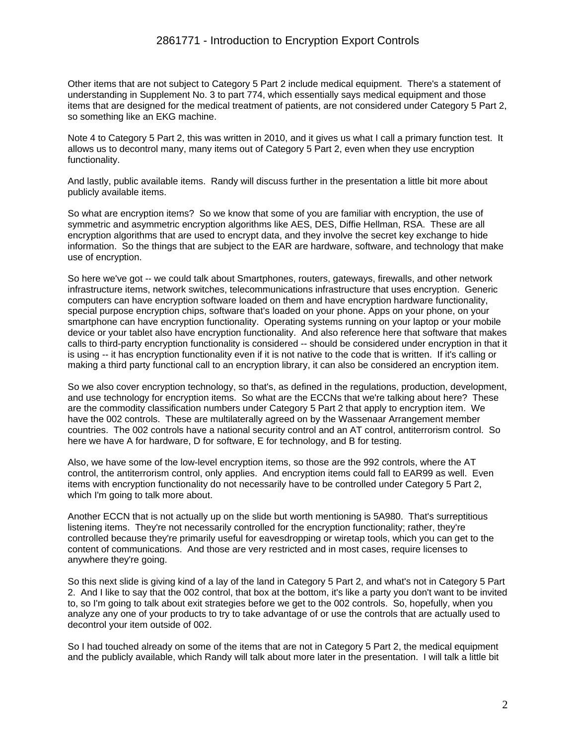Other items that are not subject to Category 5 Part 2 include medical equipment. There's a statement of understanding in Supplement No. 3 to part 774, which essentially says medical equipment and those items that are designed for the medical treatment of patients, are not considered under Category 5 Part 2, so something like an EKG machine.

Note 4 to Category 5 Part 2, this was written in 2010, and it gives us what I call a primary function test. It allows us to decontrol many, many items out of Category 5 Part 2, even when they use encryption functionality.

And lastly, public available items. Randy will discuss further in the presentation a little bit more about publicly available items.

So what are encryption items? So we know that some of you are familiar with encryption, the use of symmetric and asymmetric encryption algorithms like AES, DES, Diffie Hellman, RSA. These are all encryption algorithms that are used to encrypt data, and they involve the secret key exchange to hide information. So the things that are subject to the EAR are hardware, software, and technology that make use of encryption.

So here we've got -- we could talk about Smartphones, routers, gateways, firewalls, and other network infrastructure items, network switches, telecommunications infrastructure that uses encryption. Generic computers can have encryption software loaded on them and have encryption hardware functionality, special purpose encryption chips, software that's loaded on your phone. Apps on your phone, on your smartphone can have encryption functionality. Operating systems running on your laptop or your mobile device or your tablet also have encryption functionality. And also reference here that software that makes calls to third-party encryption functionality is considered -- should be considered under encryption in that it is using -- it has encryption functionality even if it is not native to the code that is written. If it's calling or making a third party functional call to an encryption library, it can also be considered an encryption item.

So we also cover encryption technology, so that's, as defined in the regulations, production, development, and use technology for encryption items. So what are the ECCNs that we're talking about here? These are the commodity classification numbers under Category 5 Part 2 that apply to encryption item. We have the 002 controls. These are multilaterally agreed on by the Wassenaar Arrangement member countries. The 002 controls have a national security control and an AT control, antiterrorism control. So here we have A for hardware, D for software, E for technology, and B for testing.

Also, we have some of the low-level encryption items, so those are the 992 controls, where the AT control, the antiterrorism control, only applies. And encryption items could fall to EAR99 as well. Even items with encryption functionality do not necessarily have to be controlled under Category 5 Part 2, which I'm going to talk more about.

Another ECCN that is not actually up on the slide but worth mentioning is 5A980. That's surreptitious listening items. They're not necessarily controlled for the encryption functionality; rather, they're controlled because they're primarily useful for eavesdropping or wiretap tools, which you can get to the content of communications. And those are very restricted and in most cases, require licenses to anywhere they're going.

So this next slide is giving kind of a lay of the land in Category 5 Part 2, and what's not in Category 5 Part 2. And I like to say that the 002 control, that box at the bottom, it's like a party you don't want to be invited to, so I'm going to talk about exit strategies before we get to the 002 controls. So, hopefully, when you analyze any one of your products to try to take advantage of or use the controls that are actually used to decontrol your item outside of 002.

So I had touched already on some of the items that are not in Category 5 Part 2, the medical equipment and the publicly available, which Randy will talk about more later in the presentation. I will talk a little bit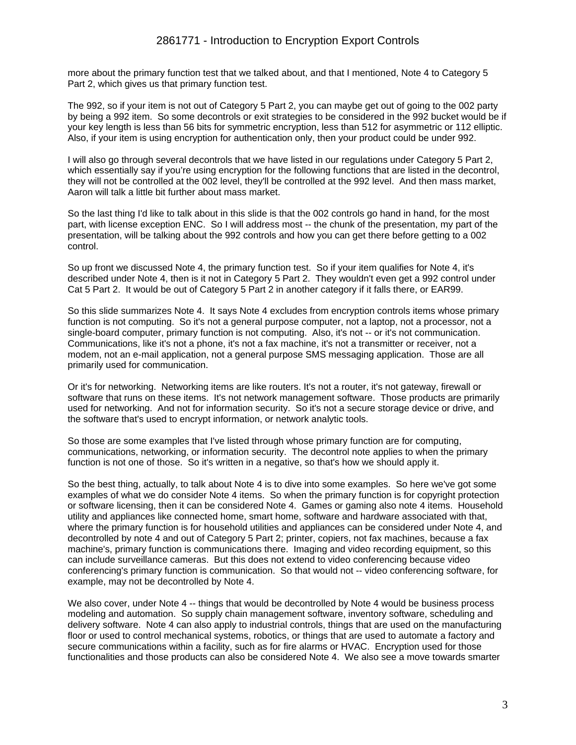more about the primary function test that we talked about, and that I mentioned, Note 4 to Category 5 Part 2, which gives us that primary function test.

The 992, so if your item is not out of Category 5 Part 2, you can maybe get out of going to the 002 party by being a 992 item. So some decontrols or exit strategies to be considered in the 992 bucket would be if your key length is less than 56 bits for symmetric encryption, less than 512 for asymmetric or 112 elliptic. Also, if your item is using encryption for authentication only, then your product could be under 992.

I will also go through several decontrols that we have listed in our regulations under Category 5 Part 2, which essentially say if you're using encryption for the following functions that are listed in the decontrol, they will not be controlled at the 002 level, they'll be controlled at the 992 level. And then mass market, Aaron will talk a little bit further about mass market.

So the last thing I'd like to talk about in this slide is that the 002 controls go hand in hand, for the most part, with license exception ENC. So I will address most -- the chunk of the presentation, my part of the presentation, will be talking about the 992 controls and how you can get there before getting to a 002 control.

So up front we discussed Note 4, the primary function test. So if your item qualifies for Note 4, it's described under Note 4, then is it not in Category 5 Part 2. They wouldn't even get a 992 control under Cat 5 Part 2. It would be out of Category 5 Part 2 in another category if it falls there, or EAR99.

So this slide summarizes Note 4. It says Note 4 excludes from encryption controls items whose primary function is not computing. So it's not a general purpose computer, not a laptop, not a processor, not a single-board computer, primary function is not computing. Also, it's not -- or it's not communication. Communications, like it's not a phone, it's not a fax machine, it's not a transmitter or receiver, not a modem, not an e-mail application, not a general purpose SMS messaging application. Those are all primarily used for communication.

Or it's for networking. Networking items are like routers. It's not a router, it's not gateway, firewall or software that runs on these items. It's not network management software. Those products are primarily used for networking. And not for information security. So it's not a secure storage device or drive, and the software that's used to encrypt information, or network analytic tools.

So those are some examples that I've listed through whose primary function are for computing, communications, networking, or information security. The decontrol note applies to when the primary function is not one of those. So it's written in a negative, so that's how we should apply it.

So the best thing, actually, to talk about Note 4 is to dive into some examples. So here we've got some examples of what we do consider Note 4 items. So when the primary function is for copyright protection or software licensing, then it can be considered Note 4. Games or gaming also note 4 items. Household utility and appliances like connected home, smart home, software and hardware associated with that, where the primary function is for household utilities and appliances can be considered under Note 4, and decontrolled by note 4 and out of Category 5 Part 2; printer, copiers, not fax machines, because a fax machine's, primary function is communications there. Imaging and video recording equipment, so this can include surveillance cameras. But this does not extend to video conferencing because video conferencing's primary function is communication. So that would not -- video conferencing software, for example, may not be decontrolled by Note 4.

We also cover, under Note 4 -- things that would be decontrolled by Note 4 would be business process modeling and automation. So supply chain management software, inventory software, scheduling and delivery software. Note 4 can also apply to industrial controls, things that are used on the manufacturing floor or used to control mechanical systems, robotics, or things that are used to automate a factory and secure communications within a facility, such as for fire alarms or HVAC. Encryption used for those functionalities and those products can also be considered Note 4. We also see a move towards smarter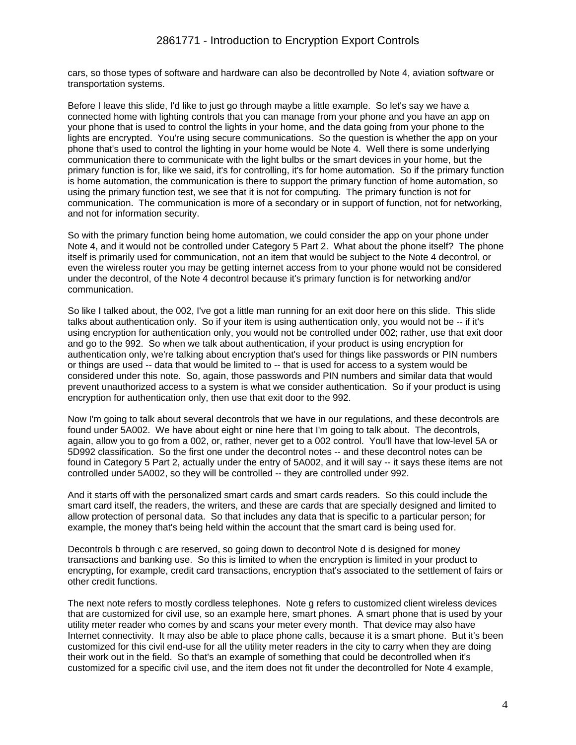cars, so those types of software and hardware can also be decontrolled by Note 4, aviation software or transportation systems.

Before I leave this slide, I'd like to just go through maybe a little example. So let's say we have a connected home with lighting controls that you can manage from your phone and you have an app on your phone that is used to control the lights in your home, and the data going from your phone to the lights are encrypted. You're using secure communications. So the question is whether the app on your phone that's used to control the lighting in your home would be Note 4. Well there is some underlying communication there to communicate with the light bulbs or the smart devices in your home, but the primary function is for, like we said, it's for controlling, it's for home automation. So if the primary function is home automation, the communication is there to support the primary function of home automation, so using the primary function test, we see that it is not for computing. The primary function is not for communication. The communication is more of a secondary or in support of function, not for networking, and not for information security.

So with the primary function being home automation, we could consider the app on your phone under Note 4, and it would not be controlled under Category 5 Part 2. What about the phone itself? The phone itself is primarily used for communication, not an item that would be subject to the Note 4 decontrol, or even the wireless router you may be getting internet access from to your phone would not be considered under the decontrol, of the Note 4 decontrol because it's primary function is for networking and/or communication.

So like I talked about, the 002, I've got a little man running for an exit door here on this slide. This slide talks about authentication only. So if your item is using authentication only, you would not be -- if it's using encryption for authentication only, you would not be controlled under 002; rather, use that exit door and go to the 992. So when we talk about authentication, if your product is using encryption for authentication only, we're talking about encryption that's used for things like passwords or PIN numbers or things are used -- data that would be limited to -- that is used for access to a system would be considered under this note. So, again, those passwords and PIN numbers and similar data that would prevent unauthorized access to a system is what we consider authentication. So if your product is using encryption for authentication only, then use that exit door to the 992.

Now I'm going to talk about several decontrols that we have in our regulations, and these decontrols are found under 5A002. We have about eight or nine here that I'm going to talk about. The decontrols, again, allow you to go from a 002, or, rather, never get to a 002 control. You'll have that low-level 5A or 5D992 classification. So the first one under the decontrol notes -- and these decontrol notes can be found in Category 5 Part 2, actually under the entry of 5A002, and it will say -- it says these items are not controlled under 5A002, so they will be controlled -- they are controlled under 992.

And it starts off with the personalized smart cards and smart cards readers. So this could include the smart card itself, the readers, the writers, and these are cards that are specially designed and limited to allow protection of personal data. So that includes any data that is specific to a particular person; for example, the money that's being held within the account that the smart card is being used for.

Decontrols b through c are reserved, so going down to decontrol Note d is designed for money transactions and banking use. So this is limited to when the encryption is limited in your product to encrypting, for example, credit card transactions, encryption that's associated to the settlement of fairs or other credit functions.

The next note refers to mostly cordless telephones. Note g refers to customized client wireless devices that are customized for civil use, so an example here, smart phones. A smart phone that is used by your utility meter reader who comes by and scans your meter every month. That device may also have Internet connectivity. It may also be able to place phone calls, because it is a smart phone. But it's been customized for this civil end-use for all the utility meter readers in the city to carry when they are doing their work out in the field. So that's an example of something that could be decontrolled when it's customized for a specific civil use, and the item does not fit under the decontrolled for Note 4 example,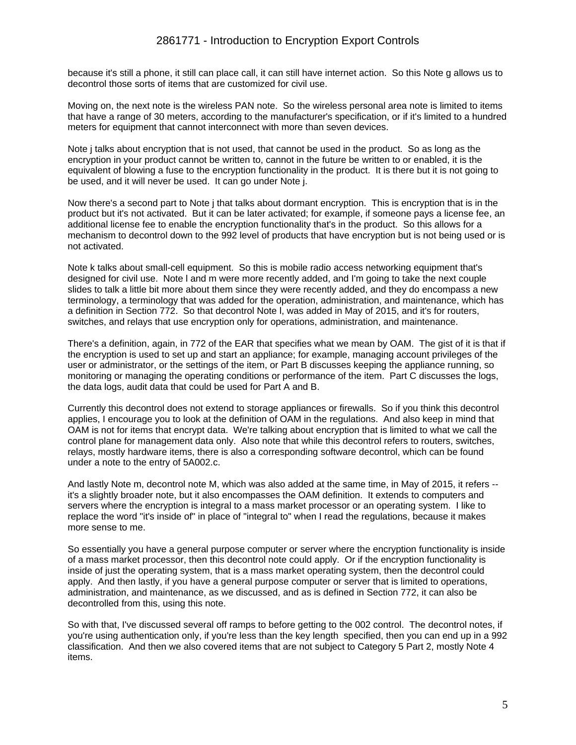because it's still a phone, it still can place call, it can still have internet action. So this Note g allows us to decontrol those sorts of items that are customized for civil use.

Moving on, the next note is the wireless PAN note. So the wireless personal area note is limited to items that have a range of 30 meters, according to the manufacturer's specification, or if it's limited to a hundred meters for equipment that cannot interconnect with more than seven devices.

Note j talks about encryption that is not used, that cannot be used in the product. So as long as the encryption in your product cannot be written to, cannot in the future be written to or enabled, it is the equivalent of blowing a fuse to the encryption functionality in the product. It is there but it is not going to be used, and it will never be used. It can go under Note j.

Now there's a second part to Note j that talks about dormant encryption. This is encryption that is in the product but it's not activated. But it can be later activated; for example, if someone pays a license fee, an additional license fee to enable the encryption functionality that's in the product. So this allows for a mechanism to decontrol down to the 992 level of products that have encryption but is not being used or is not activated.

Note k talks about small-cell equipment. So this is mobile radio access networking equipment that's designed for civil use. Note l and m were more recently added, and I'm going to take the next couple slides to talk a little bit more about them since they were recently added, and they do encompass a new terminology, a terminology that was added for the operation, administration, and maintenance, which has a definition in Section 772. So that decontrol Note l, was added in May of 2015, and it's for routers, switches, and relays that use encryption only for operations, administration, and maintenance.

There's a definition, again, in 772 of the EAR that specifies what we mean by OAM. The gist of it is that if the encryption is used to set up and start an appliance; for example, managing account privileges of the user or administrator, or the settings of the item, or Part B discusses keeping the appliance running, so monitoring or managing the operating conditions or performance of the item. Part C discusses the logs, the data logs, audit data that could be used for Part A and B.

Currently this decontrol does not extend to storage appliances or firewalls. So if you think this decontrol applies, I encourage you to look at the definition of OAM in the regulations. And also keep in mind that OAM is not for items that encrypt data. We're talking about encryption that is limited to what we call the control plane for management data only. Also note that while this decontrol refers to routers, switches, relays, mostly hardware items, there is also a corresponding software decontrol, which can be found under a note to the entry of 5A002.c.

And lastly Note m, decontrol note M, which was also added at the same time, in May of 2015, it refers - it's a slightly broader note, but it also encompasses the OAM definition. It extends to computers and servers where the encryption is integral to a mass market processor or an operating system. I like to replace the word "it's inside of" in place of "integral to" when I read the regulations, because it makes more sense to me.

So essentially you have a general purpose computer or server where the encryption functionality is inside of a mass market processor, then this decontrol note could apply. Or if the encryption functionality is inside of just the operating system, that is a mass market operating system, then the decontrol could apply. And then lastly, if you have a general purpose computer or server that is limited to operations, administration, and maintenance, as we discussed, and as is defined in Section 772, it can also be decontrolled from this, using this note.

So with that, I've discussed several off ramps to before getting to the 002 control. The decontrol notes, if you're using authentication only, if you're less than the key length specified, then you can end up in a 992 classification. And then we also covered items that are not subject to Category 5 Part 2, mostly Note 4 items.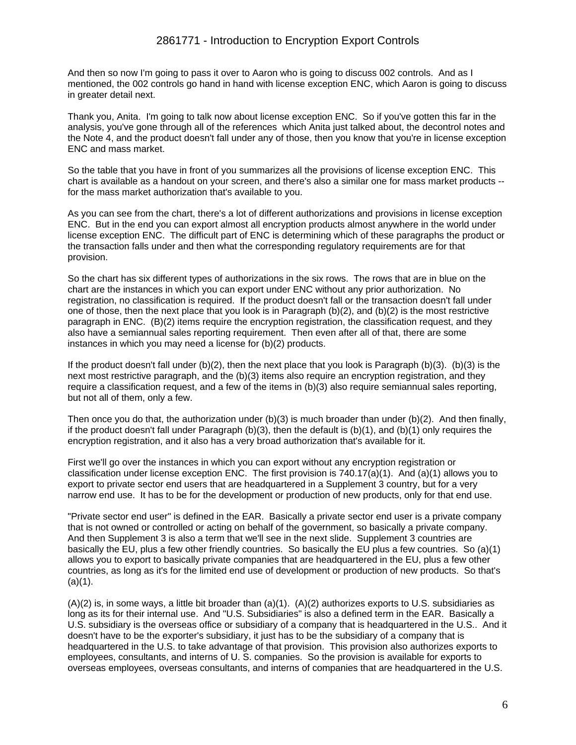And then so now I'm going to pass it over to Aaron who is going to discuss 002 controls. And as I mentioned, the 002 controls go hand in hand with license exception ENC, which Aaron is going to discuss in greater detail next.

Thank you, Anita. I'm going to talk now about license exception ENC. So if you've gotten this far in the analysis, you've gone through all of the references which Anita just talked about, the decontrol notes and the Note 4, and the product doesn't fall under any of those, then you know that you're in license exception ENC and mass market.

So the table that you have in front of you summarizes all the provisions of license exception ENC. This chart is available as a handout on your screen, and there's also a similar one for mass market products - for the mass market authorization that's available to you.

As you can see from the chart, there's a lot of different authorizations and provisions in license exception ENC. But in the end you can export almost all encryption products almost anywhere in the world under license exception ENC. The difficult part of ENC is determining which of these paragraphs the product or the transaction falls under and then what the corresponding regulatory requirements are for that provision.

So the chart has six different types of authorizations in the six rows. The rows that are in blue on the chart are the instances in which you can export under ENC without any prior authorization. No registration, no classification is required. If the product doesn't fall or the transaction doesn't fall under one of those, then the next place that you look is in Paragraph  $(b)(2)$ , and  $(b)(2)$  is the most restrictive paragraph in ENC. (B)(2) items require the encryption registration, the classification request, and they also have a semiannual sales reporting requirement. Then even after all of that, there are some instances in which you may need a license for (b)(2) products.

If the product doesn't fall under (b)(2), then the next place that you look is Paragraph (b)(3). (b)(3) is the next most restrictive paragraph, and the (b)(3) items also require an encryption registration, and they require a classification request, and a few of the items in (b)(3) also require semiannual sales reporting, but not all of them, only a few.

Then once you do that, the authorization under (b)(3) is much broader than under (b)(2). And then finally, if the product doesn't fall under Paragraph (b)(3), then the default is (b)(1), and (b)(1) only requires the encryption registration, and it also has a very broad authorization that's available for it.

First we'll go over the instances in which you can export without any encryption registration or classification under license exception ENC. The first provision is 740.17(a)(1). And (a)(1) allows you to export to private sector end users that are headquartered in a Supplement 3 country, but for a very narrow end use. It has to be for the development or production of new products, only for that end use.

"Private sector end user" is defined in the EAR. Basically a private sector end user is a private company that is not owned or controlled or acting on behalf of the government, so basically a private company. And then Supplement 3 is also a term that we'll see in the next slide. Supplement 3 countries are basically the EU, plus a few other friendly countries. So basically the EU plus a few countries. So (a)(1) allows you to export to basically private companies that are headquartered in the EU, plus a few other countries, as long as it's for the limited end use of development or production of new products. So that's  $(a)(1)$ .

 $(A)(2)$  is, in some ways, a little bit broader than  $(a)(1)$ .  $(A)(2)$  authorizes exports to U.S. subsidiaries as long as its for their internal use. And "U.S. Subsidiaries" is also a defined term in the EAR. Basically a U.S. subsidiary is the overseas office or subsidiary of a company that is headquartered in the U.S.. And it doesn't have to be the exporter's subsidiary, it just has to be the subsidiary of a company that is headquartered in the U.S. to take advantage of that provision. This provision also authorizes exports to employees, consultants, and interns of U. S. companies. So the provision is available for exports to overseas employees, overseas consultants, and interns of companies that are headquartered in the U.S.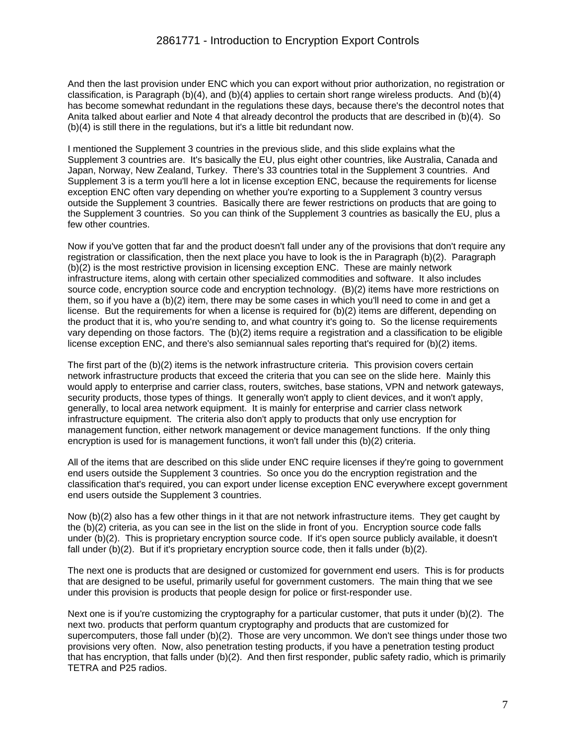And then the last provision under ENC which you can export without prior authorization, no registration or classification, is Paragraph (b)(4), and (b)(4) applies to certain short range wireless products. And (b)(4) has become somewhat redundant in the regulations these days, because there's the decontrol notes that Anita talked about earlier and Note 4 that already decontrol the products that are described in (b)(4). So (b)(4) is still there in the regulations, but it's a little bit redundant now.

I mentioned the Supplement 3 countries in the previous slide, and this slide explains what the Supplement 3 countries are. It's basically the EU, plus eight other countries, like Australia, Canada and Japan, Norway, New Zealand, Turkey. There's 33 countries total in the Supplement 3 countries. And Supplement 3 is a term you'll here a lot in license exception ENC, because the requirements for license exception ENC often vary depending on whether you're exporting to a Supplement 3 country versus outside the Supplement 3 countries. Basically there are fewer restrictions on products that are going to the Supplement 3 countries. So you can think of the Supplement 3 countries as basically the EU, plus a few other countries.

Now if you've gotten that far and the product doesn't fall under any of the provisions that don't require any registration or classification, then the next place you have to look is the in Paragraph (b)(2). Paragraph (b)(2) is the most restrictive provision in licensing exception ENC. These are mainly network infrastructure items, along with certain other specialized commodities and software. It also includes source code, encryption source code and encryption technology. (B)(2) items have more restrictions on them, so if you have a (b)(2) item, there may be some cases in which you'll need to come in and get a license. But the requirements for when a license is required for (b)(2) items are different, depending on the product that it is, who you're sending to, and what country it's going to. So the license requirements vary depending on those factors. The (b)(2) items require a registration and a classification to be eligible license exception ENC, and there's also semiannual sales reporting that's required for (b)(2) items.

The first part of the (b)(2) items is the network infrastructure criteria. This provision covers certain network infrastructure products that exceed the criteria that you can see on the slide here. Mainly this would apply to enterprise and carrier class, routers, switches, base stations, VPN and network gateways, security products, those types of things. It generally won't apply to client devices, and it won't apply, generally, to local area network equipment. It is mainly for enterprise and carrier class network infrastructure equipment. The criteria also don't apply to products that only use encryption for management function, either network management or device management functions. If the only thing encryption is used for is management functions, it won't fall under this (b)(2) criteria.

All of the items that are described on this slide under ENC require licenses if they're going to government end users outside the Supplement 3 countries. So once you do the encryption registration and the classification that's required, you can export under license exception ENC everywhere except government end users outside the Supplement 3 countries.

Now (b)(2) also has a few other things in it that are not network infrastructure items. They get caught by the (b)(2) criteria, as you can see in the list on the slide in front of you. Encryption source code falls under (b)(2). This is proprietary encryption source code. If it's open source publicly available, it doesn't fall under (b)(2). But if it's proprietary encryption source code, then it falls under (b)(2).

The next one is products that are designed or customized for government end users. This is for products that are designed to be useful, primarily useful for government customers. The main thing that we see under this provision is products that people design for police or first-responder use.

Next one is if you're customizing the cryptography for a particular customer, that puts it under (b)(2). The next two. products that perform quantum cryptography and products that are customized for supercomputers, those fall under (b)(2). Those are very uncommon. We don't see things under those two provisions very often. Now, also penetration testing products, if you have a penetration testing product that has encryption, that falls under (b)(2). And then first responder, public safety radio, which is primarily TETRA and P25 radios.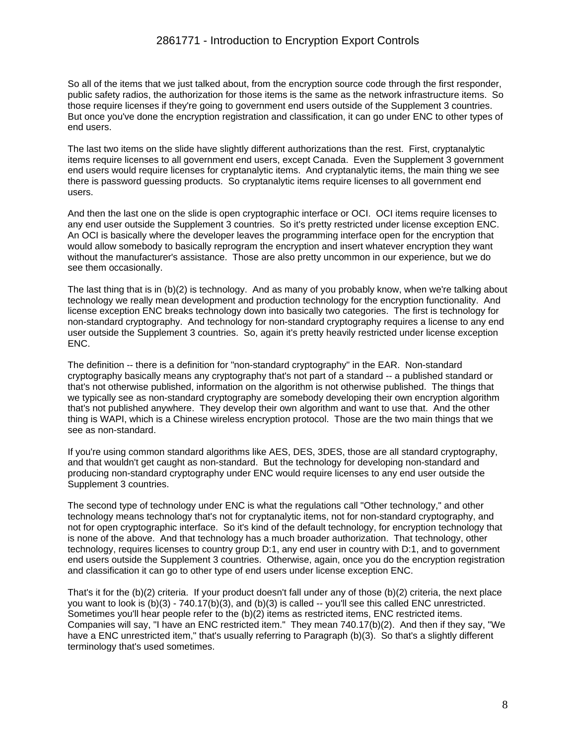So all of the items that we just talked about, from the encryption source code through the first responder, public safety radios, the authorization for those items is the same as the network infrastructure items. So those require licenses if they're going to government end users outside of the Supplement 3 countries. But once you've done the encryption registration and classification, it can go under ENC to other types of end users.

The last two items on the slide have slightly different authorizations than the rest. First, cryptanalytic items require licenses to all government end users, except Canada. Even the Supplement 3 government end users would require licenses for cryptanalytic items. And cryptanalytic items, the main thing we see there is password guessing products. So cryptanalytic items require licenses to all government end users.

And then the last one on the slide is open cryptographic interface or OCI. OCI items require licenses to any end user outside the Supplement 3 countries. So it's pretty restricted under license exception ENC. An OCI is basically where the developer leaves the programming interface open for the encryption that would allow somebody to basically reprogram the encryption and insert whatever encryption they want without the manufacturer's assistance. Those are also pretty uncommon in our experience, but we do see them occasionally.

The last thing that is in (b)(2) is technology. And as many of you probably know, when we're talking about technology we really mean development and production technology for the encryption functionality. And license exception ENC breaks technology down into basically two categories. The first is technology for non-standard cryptography. And technology for non-standard cryptography requires a license to any end user outside the Supplement 3 countries. So, again it's pretty heavily restricted under license exception ENC.

The definition -- there is a definition for "non-standard cryptography" in the EAR. Non-standard cryptography basically means any cryptography that's not part of a standard -- a published standard or that's not otherwise published, information on the algorithm is not otherwise published. The things that we typically see as non-standard cryptography are somebody developing their own encryption algorithm that's not published anywhere. They develop their own algorithm and want to use that. And the other thing is WAPI, which is a Chinese wireless encryption protocol. Those are the two main things that we see as non-standard.

If you're using common standard algorithms like AES, DES, 3DES, those are all standard cryptography, and that wouldn't get caught as non-standard. But the technology for developing non-standard and producing non-standard cryptography under ENC would require licenses to any end user outside the Supplement 3 countries.

The second type of technology under ENC is what the regulations call "Other technology," and other technology means technology that's not for cryptanalytic items, not for non-standard cryptography, and not for open cryptographic interface. So it's kind of the default technology, for encryption technology that is none of the above. And that technology has a much broader authorization. That technology, other technology, requires licenses to country group D:1, any end user in country with D:1, and to government end users outside the Supplement 3 countries. Otherwise, again, once you do the encryption registration and classification it can go to other type of end users under license exception ENC.

That's it for the (b)(2) criteria. If your product doesn't fall under any of those (b)(2) criteria, the next place you want to look is (b)(3) - 740.17(b)(3), and (b)(3) is called -- you'll see this called ENC unrestricted. Sometimes you'll hear people refer to the (b)(2) items as restricted items, ENC restricted items. Companies will say, "I have an ENC restricted item." They mean 740.17(b)(2). And then if they say, "We have a ENC unrestricted item," that's usually referring to Paragraph (b)(3). So that's a slightly different terminology that's used sometimes.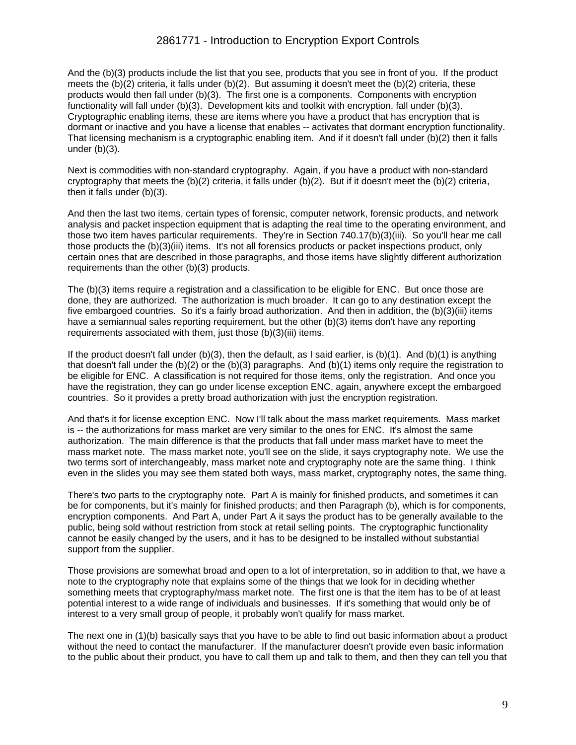## 2861771 - Introduction to Encryption Export Controls

And the (b)(3) products include the list that you see, products that you see in front of you. If the product meets the (b)(2) criteria, it falls under (b)(2). But assuming it doesn't meet the (b)(2) criteria, these products would then fall under (b)(3). The first one is a components. Components with encryption functionality will fall under (b)(3). Development kits and toolkit with encryption, fall under (b)(3). Cryptographic enabling items, these are items where you have a product that has encryption that is dormant or inactive and you have a license that enables -- activates that dormant encryption functionality. That licensing mechanism is a cryptographic enabling item. And if it doesn't fall under (b)(2) then it falls under (b)(3).

Next is commodities with non-standard cryptography. Again, if you have a product with non-standard cryptography that meets the (b)(2) criteria, it falls under (b)(2). But if it doesn't meet the (b)(2) criteria, then it falls under (b)(3).

And then the last two items, certain types of forensic, computer network, forensic products, and network analysis and packet inspection equipment that is adapting the real time to the operating environment, and those two item haves particular requirements. They're in Section 740.17(b)(3)(iii). So you'll hear me call those products the (b)(3)(iii) items. It's not all forensics products or packet inspections product, only certain ones that are described in those paragraphs, and those items have slightly different authorization requirements than the other (b)(3) products.

The (b)(3) items require a registration and a classification to be eligible for ENC. But once those are done, they are authorized. The authorization is much broader. It can go to any destination except the five embargoed countries. So it's a fairly broad authorization. And then in addition, the (b)(3)(iii) items have a semiannual sales reporting requirement, but the other (b)(3) items don't have any reporting requirements associated with them, just those (b)(3)(iii) items.

If the product doesn't fall under  $(b)(3)$ , then the default, as I said earlier, is  $(b)(1)$ . And  $(b)(1)$  is anything that doesn't fall under the (b)(2) or the (b)(3) paragraphs. And (b)(1) items only require the registration to be eligible for ENC. A classification is not required for those items, only the registration. And once you have the registration, they can go under license exception ENC, again, anywhere except the embargoed countries. So it provides a pretty broad authorization with just the encryption registration.

And that's it for license exception ENC. Now I'll talk about the mass market requirements. Mass market is -- the authorizations for mass market are very similar to the ones for ENC. It's almost the same authorization. The main difference is that the products that fall under mass market have to meet the mass market note. The mass market note, you'll see on the slide, it says cryptography note. We use the two terms sort of interchangeably, mass market note and cryptography note are the same thing. I think even in the slides you may see them stated both ways, mass market, cryptography notes, the same thing.

There's two parts to the cryptography note. Part A is mainly for finished products, and sometimes it can be for components, but it's mainly for finished products; and then Paragraph (b), which is for components, encryption components. And Part A, under Part A it says the product has to be generally available to the public, being sold without restriction from stock at retail selling points. The cryptographic functionality cannot be easily changed by the users, and it has to be designed to be installed without substantial support from the supplier.

Those provisions are somewhat broad and open to a lot of interpretation, so in addition to that, we have a note to the cryptography note that explains some of the things that we look for in deciding whether something meets that cryptography/mass market note. The first one is that the item has to be of at least potential interest to a wide range of individuals and businesses. If it's something that would only be of interest to a very small group of people, it probably won't qualify for mass market.

The next one in (1)(b) basically says that you have to be able to find out basic information about a product without the need to contact the manufacturer. If the manufacturer doesn't provide even basic information to the public about their product, you have to call them up and talk to them, and then they can tell you that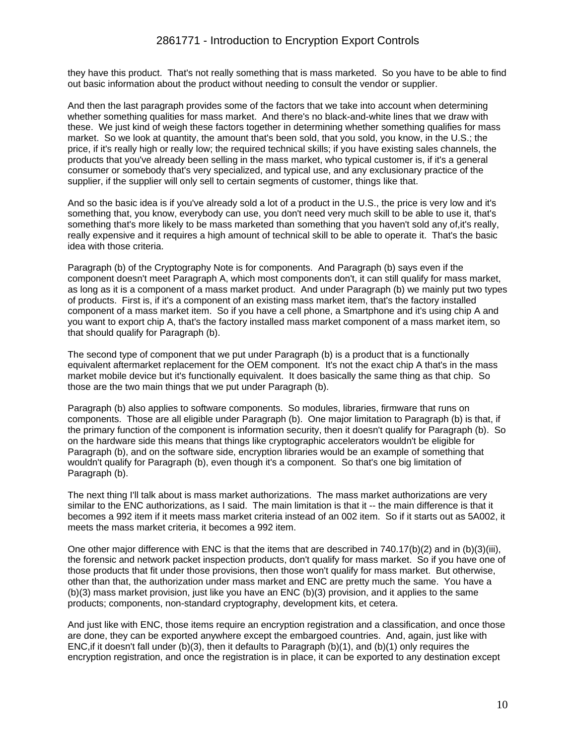they have this product. That's not really something that is mass marketed. So you have to be able to find out basic information about the product without needing to consult the vendor or supplier.

And then the last paragraph provides some of the factors that we take into account when determining whether something qualities for mass market. And there's no black-and-white lines that we draw with these. We just kind of weigh these factors together in determining whether something qualifies for mass market. So we look at quantity, the amount that's been sold, that you sold, you know, in the U.S.; the price, if it's really high or really low; the required technical skills; if you have existing sales channels, the products that you've already been selling in the mass market, who typical customer is, if it's a general consumer or somebody that's very specialized, and typical use, and any exclusionary practice of the supplier, if the supplier will only sell to certain segments of customer, things like that.

And so the basic idea is if you've already sold a lot of a product in the U.S., the price is very low and it's something that, you know, everybody can use, you don't need very much skill to be able to use it, that's something that's more likely to be mass marketed than something that you haven't sold any of,it's really, really expensive and it requires a high amount of technical skill to be able to operate it. That's the basic idea with those criteria.

Paragraph (b) of the Cryptography Note is for components. And Paragraph (b) says even if the component doesn't meet Paragraph A, which most components don't, it can still qualify for mass market, as long as it is a component of a mass market product. And under Paragraph (b) we mainly put two types of products. First is, if it's a component of an existing mass market item, that's the factory installed component of a mass market item. So if you have a cell phone, a Smartphone and it's using chip A and you want to export chip A, that's the factory installed mass market component of a mass market item, so that should qualify for Paragraph (b).

The second type of component that we put under Paragraph (b) is a product that is a functionally equivalent aftermarket replacement for the OEM component. It's not the exact chip A that's in the mass market mobile device but it's functionally equivalent. It does basically the same thing as that chip. So those are the two main things that we put under Paragraph (b).

Paragraph (b) also applies to software components. So modules, libraries, firmware that runs on components. Those are all eligible under Paragraph (b). One major limitation to Paragraph (b) is that, if the primary function of the component is information security, then it doesn't qualify for Paragraph (b). So on the hardware side this means that things like cryptographic accelerators wouldn't be eligible for Paragraph (b), and on the software side, encryption libraries would be an example of something that wouldn't qualify for Paragraph (b), even though it's a component. So that's one big limitation of Paragraph (b).

The next thing I'll talk about is mass market authorizations. The mass market authorizations are very similar to the ENC authorizations, as I said. The main limitation is that it -- the main difference is that it becomes a 992 item if it meets mass market criteria instead of an 002 item. So if it starts out as 5A002, it meets the mass market criteria, it becomes a 992 item.

One other major difference with ENC is that the items that are described in 740.17(b)(2) and in (b)(3)(iii), the forensic and network packet inspection products, don't qualify for mass market. So if you have one of those products that fit under those provisions, then those won't qualify for mass market. But otherwise, other than that, the authorization under mass market and ENC are pretty much the same. You have a (b)(3) mass market provision, just like you have an ENC (b)(3) provision, and it applies to the same products; components, non-standard cryptography, development kits, et cetera.

And just like with ENC, those items require an encryption registration and a classification, and once those are done, they can be exported anywhere except the embargoed countries. And, again, just like with ENC,if it doesn't fall under (b)(3), then it defaults to Paragraph (b)(1), and (b)(1) only requires the encryption registration, and once the registration is in place, it can be exported to any destination except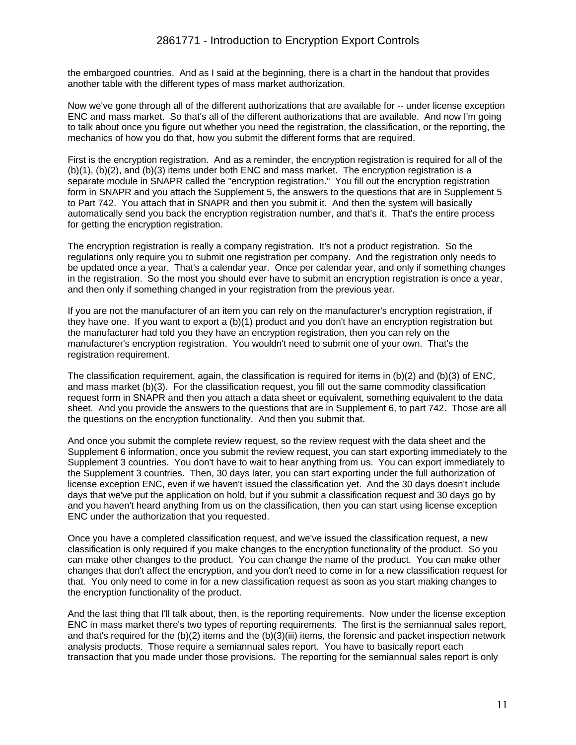the embargoed countries. And as I said at the beginning, there is a chart in the handout that provides another table with the different types of mass market authorization.

Now we've gone through all of the different authorizations that are available for -- under license exception ENC and mass market. So that's all of the different authorizations that are available. And now I'm going to talk about once you figure out whether you need the registration, the classification, or the reporting, the mechanics of how you do that, how you submit the different forms that are required.

First is the encryption registration. And as a reminder, the encryption registration is required for all of the (b)(1), (b)(2), and (b)(3) items under both ENC and mass market. The encryption registration is a separate module in SNAPR called the "encryption registration." You fill out the encryption registration form in SNAPR and you attach the Supplement 5, the answers to the questions that are in Supplement 5 to Part 742. You attach that in SNAPR and then you submit it. And then the system will basically automatically send you back the encryption registration number, and that's it. That's the entire process for getting the encryption registration.

The encryption registration is really a company registration. It's not a product registration. So the regulations only require you to submit one registration per company. And the registration only needs to be updated once a year. That's a calendar year. Once per calendar year, and only if something changes in the registration. So the most you should ever have to submit an encryption registration is once a year, and then only if something changed in your registration from the previous year.

If you are not the manufacturer of an item you can rely on the manufacturer's encryption registration, if they have one. If you want to export a (b)(1) product and you don't have an encryption registration but the manufacturer had told you they have an encryption registration, then you can rely on the manufacturer's encryption registration. You wouldn't need to submit one of your own. That's the registration requirement.

The classification requirement, again, the classification is required for items in (b)(2) and (b)(3) of ENC, and mass market (b)(3). For the classification request, you fill out the same commodity classification request form in SNAPR and then you attach a data sheet or equivalent, something equivalent to the data sheet. And you provide the answers to the questions that are in Supplement 6, to part 742. Those are all the questions on the encryption functionality. And then you submit that.

And once you submit the complete review request, so the review request with the data sheet and the Supplement 6 information, once you submit the review request, you can start exporting immediately to the Supplement 3 countries. You don't have to wait to hear anything from us. You can export immediately to the Supplement 3 countries. Then, 30 days later, you can start exporting under the full authorization of license exception ENC, even if we haven't issued the classification yet. And the 30 days doesn't include days that we've put the application on hold, but if you submit a classification request and 30 days go by and you haven't heard anything from us on the classification, then you can start using license exception ENC under the authorization that you requested.

Once you have a completed classification request, and we've issued the classification request, a new classification is only required if you make changes to the encryption functionality of the product. So you can make other changes to the product. You can change the name of the product. You can make other changes that don't affect the encryption, and you don't need to come in for a new classification request for that. You only need to come in for a new classification request as soon as you start making changes to the encryption functionality of the product.

And the last thing that I'll talk about, then, is the reporting requirements. Now under the license exception ENC in mass market there's two types of reporting requirements. The first is the semiannual sales report, and that's required for the (b)(2) items and the (b)(3)(iii) items, the forensic and packet inspection network analysis products. Those require a semiannual sales report. You have to basically report each transaction that you made under those provisions. The reporting for the semiannual sales report is only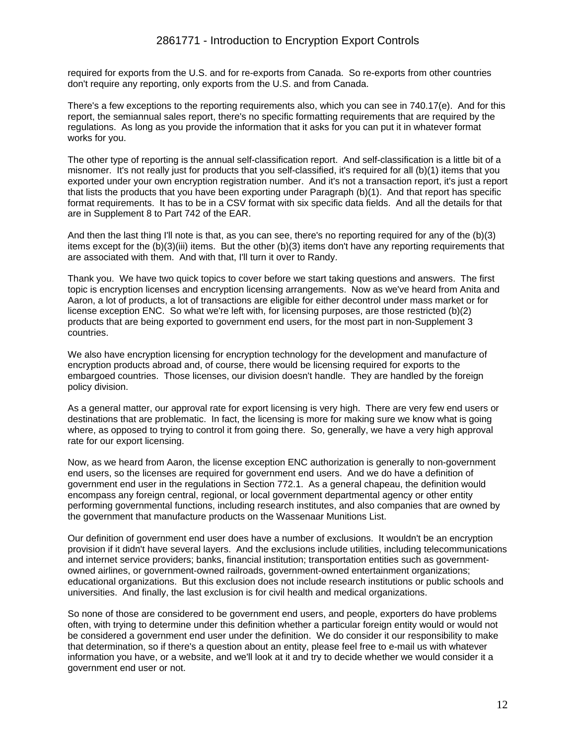## 2861771 - Introduction to Encryption Export Controls

required for exports from the U.S. and for re-exports from Canada. So re-exports from other countries don't require any reporting, only exports from the U.S. and from Canada.

There's a few exceptions to the reporting requirements also, which you can see in 740.17(e). And for this report, the semiannual sales report, there's no specific formatting requirements that are required by the regulations. As long as you provide the information that it asks for you can put it in whatever format works for you.

The other type of reporting is the annual self-classification report. And self-classification is a little bit of a misnomer. It's not really just for products that you self-classified, it's required for all (b)(1) items that you exported under your own encryption registration number. And it's not a transaction report, it's just a report that lists the products that you have been exporting under Paragraph (b)(1). And that report has specific format requirements. It has to be in a CSV format with six specific data fields. And all the details for that are in Supplement 8 to Part 742 of the EAR.

And then the last thing I'll note is that, as you can see, there's no reporting required for any of the (b)(3) items except for the (b)(3)(iii) items. But the other (b)(3) items don't have any reporting requirements that are associated with them. And with that, I'll turn it over to Randy.

Thank you. We have two quick topics to cover before we start taking questions and answers. The first topic is encryption licenses and encryption licensing arrangements. Now as we've heard from Anita and Aaron, a lot of products, a lot of transactions are eligible for either decontrol under mass market or for license exception ENC. So what we're left with, for licensing purposes, are those restricted (b)(2) products that are being exported to government end users, for the most part in non-Supplement 3 countries.

We also have encryption licensing for encryption technology for the development and manufacture of encryption products abroad and, of course, there would be licensing required for exports to the embargoed countries. Those licenses, our division doesn't handle. They are handled by the foreign policy division.

As a general matter, our approval rate for export licensing is very high. There are very few end users or destinations that are problematic. In fact, the licensing is more for making sure we know what is going where, as opposed to trying to control it from going there. So, generally, we have a very high approval rate for our export licensing.

Now, as we heard from Aaron, the license exception ENC authorization is generally to non-government end users, so the licenses are required for government end users. And we do have a definition of government end user in the regulations in Section 772.1. As a general chapeau, the definition would encompass any foreign central, regional, or local government departmental agency or other entity performing governmental functions, including research institutes, and also companies that are owned by the government that manufacture products on the Wassenaar Munitions List.

Our definition of government end user does have a number of exclusions. It wouldn't be an encryption provision if it didn't have several layers. And the exclusions include utilities, including telecommunications and internet service providers; banks, financial institution; transportation entities such as governmentowned airlines, or government-owned railroads, government-owned entertainment organizations; educational organizations. But this exclusion does not include research institutions or public schools and universities. And finally, the last exclusion is for civil health and medical organizations.

So none of those are considered to be government end users, and people, exporters do have problems often, with trying to determine under this definition whether a particular foreign entity would or would not be considered a government end user under the definition. We do consider it our responsibility to make that determination, so if there's a question about an entity, please feel free to e-mail us with whatever information you have, or a website, and we'll look at it and try to decide whether we would consider it a government end user or not.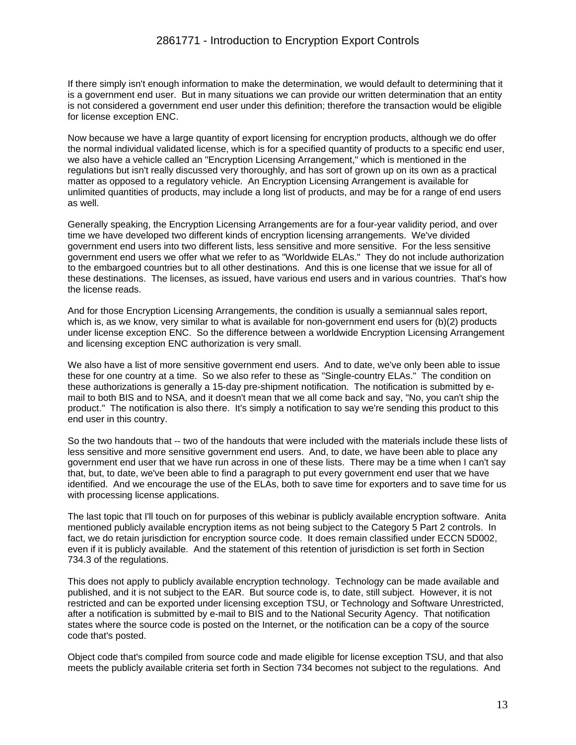If there simply isn't enough information to make the determination, we would default to determining that it is a government end user. But in many situations we can provide our written determination that an entity is not considered a government end user under this definition; therefore the transaction would be eligible for license exception ENC.

Now because we have a large quantity of export licensing for encryption products, although we do offer the normal individual validated license, which is for a specified quantity of products to a specific end user, we also have a vehicle called an "Encryption Licensing Arrangement," which is mentioned in the regulations but isn't really discussed very thoroughly, and has sort of grown up on its own as a practical matter as opposed to a regulatory vehicle. An Encryption Licensing Arrangement is available for unlimited quantities of products, may include a long list of products, and may be for a range of end users as well.

Generally speaking, the Encryption Licensing Arrangements are for a four-year validity period, and over time we have developed two different kinds of encryption licensing arrangements. We've divided government end users into two different lists, less sensitive and more sensitive. For the less sensitive government end users we offer what we refer to as "Worldwide ELAs." They do not include authorization to the embargoed countries but to all other destinations. And this is one license that we issue for all of these destinations. The licenses, as issued, have various end users and in various countries. That's how the license reads.

And for those Encryption Licensing Arrangements, the condition is usually a semiannual sales report, which is, as we know, very similar to what is available for non-government end users for (b)(2) products under license exception ENC. So the difference between a worldwide Encryption Licensing Arrangement and licensing exception ENC authorization is very small.

We also have a list of more sensitive government end users. And to date, we've only been able to issue these for one country at a time. So we also refer to these as "Single-country ELAs." The condition on these authorizations is generally a 15-day pre-shipment notification. The notification is submitted by email to both BIS and to NSA, and it doesn't mean that we all come back and say, "No, you can't ship the product." The notification is also there. It's simply a notification to say we're sending this product to this end user in this country.

So the two handouts that -- two of the handouts that were included with the materials include these lists of less sensitive and more sensitive government end users. And, to date, we have been able to place any government end user that we have run across in one of these lists. There may be a time when I can't say that, but, to date, we've been able to find a paragraph to put every government end user that we have identified. And we encourage the use of the ELAs, both to save time for exporters and to save time for us with processing license applications.

The last topic that I'll touch on for purposes of this webinar is publicly available encryption software. Anita mentioned publicly available encryption items as not being subject to the Category 5 Part 2 controls. In fact, we do retain jurisdiction for encryption source code. It does remain classified under ECCN 5D002, even if it is publicly available. And the statement of this retention of jurisdiction is set forth in Section 734.3 of the regulations.

This does not apply to publicly available encryption technology. Technology can be made available and published, and it is not subject to the EAR. But source code is, to date, still subject. However, it is not restricted and can be exported under licensing exception TSU, or Technology and Software Unrestricted, after a notification is submitted by e-mail to BIS and to the National Security Agency. That notification states where the source code is posted on the Internet, or the notification can be a copy of the source code that's posted.

Object code that's compiled from source code and made eligible for license exception TSU, and that also meets the publicly available criteria set forth in Section 734 becomes not subject to the regulations. And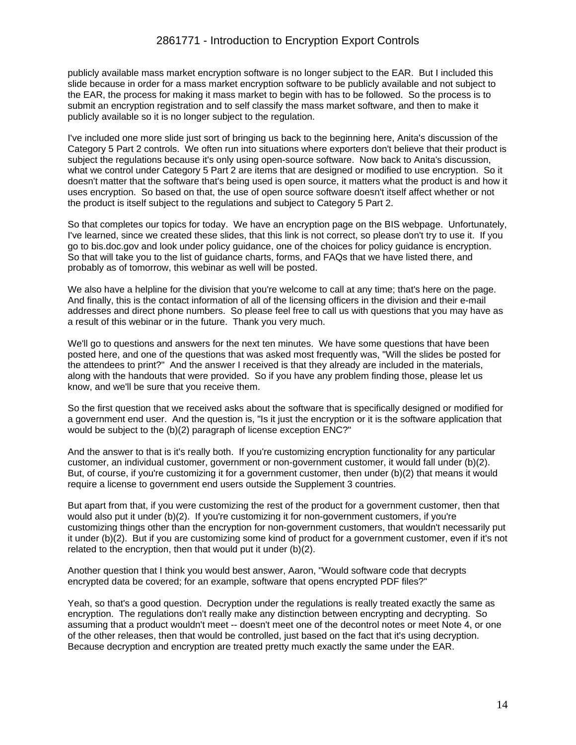publicly available mass market encryption software is no longer subject to the EAR. But I included this slide because in order for a mass market encryption software to be publicly available and not subject to the EAR, the process for making it mass market to begin with has to be followed. So the process is to submit an encryption registration and to self classify the mass market software, and then to make it publicly available so it is no longer subject to the regulation.

I've included one more slide just sort of bringing us back to the beginning here, Anita's discussion of the Category 5 Part 2 controls. We often run into situations where exporters don't believe that their product is subject the regulations because it's only using open-source software. Now back to Anita's discussion, what we control under Category 5 Part 2 are items that are designed or modified to use encryption. So it doesn't matter that the software that's being used is open source, it matters what the product is and how it uses encryption. So based on that, the use of open source software doesn't itself affect whether or not the product is itself subject to the regulations and subject to Category 5 Part 2.

So that completes our topics for today. We have an encryption page on the BIS webpage. Unfortunately, I've learned, since we created these slides, that this link is not correct, so please don't try to use it. If you go to bis.doc.gov and look under policy guidance, one of the choices for policy guidance is encryption. So that will take you to the list of guidance charts, forms, and FAQs that we have listed there, and probably as of tomorrow, this webinar as well will be posted.

We also have a helpline for the division that you're welcome to call at any time; that's here on the page. And finally, this is the contact information of all of the licensing officers in the division and their e-mail addresses and direct phone numbers. So please feel free to call us with questions that you may have as a result of this webinar or in the future. Thank you very much.

We'll go to questions and answers for the next ten minutes. We have some questions that have been posted here, and one of the questions that was asked most frequently was, "Will the slides be posted for the attendees to print?" And the answer I received is that they already are included in the materials, along with the handouts that were provided. So if you have any problem finding those, please let us know, and we'll be sure that you receive them.

So the first question that we received asks about the software that is specifically designed or modified for a government end user. And the question is, "Is it just the encryption or it is the software application that would be subject to the (b)(2) paragraph of license exception ENC?"

And the answer to that is it's really both. If you're customizing encryption functionality for any particular customer, an individual customer, government or non-government customer, it would fall under (b)(2). But, of course, if you're customizing it for a government customer, then under (b)(2) that means it would require a license to government end users outside the Supplement 3 countries.

But apart from that, if you were customizing the rest of the product for a government customer, then that would also put it under (b)(2). If you're customizing it for non-government customers, if you're customizing things other than the encryption for non-government customers, that wouldn't necessarily put it under (b)(2). But if you are customizing some kind of product for a government customer, even if it's not related to the encryption, then that would put it under (b)(2).

Another question that I think you would best answer, Aaron, "Would software code that decrypts encrypted data be covered; for an example, software that opens encrypted PDF files?"

Yeah, so that's a good question. Decryption under the regulations is really treated exactly the same as encryption. The regulations don't really make any distinction between encrypting and decrypting. So assuming that a product wouldn't meet -- doesn't meet one of the decontrol notes or meet Note 4, or one of the other releases, then that would be controlled, just based on the fact that it's using decryption. Because decryption and encryption are treated pretty much exactly the same under the EAR.